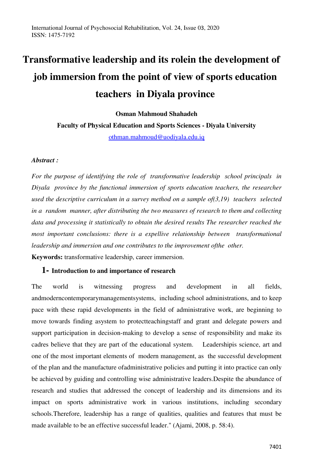# **Transformative leadership and its rolein the development of job immersion from the point of view of sports education teachers in Diyala province**

**Osman Mahmoud Shahadeh Faculty of Physical Education and Sports Sciences - Diyala University**  [othman.mahmoud@uodiyala.edu.iq](mailto:othman.mahmoud@uodiyala.edu.iq)

#### *Abstract :*

*For the purpose of identifying the role of transformative leadership school principals in Diyala province by the functional immersion of sports education teachers, the researcher used the descriptive curriculum in a survey method on a sample of(3,19) teachers selected in a random manner, after distributing the two measures of research to them and collecting data and processing it statistically to obtain the desired results The researcher reached the most important conclusions: there is a expellive relationship between transformational leadership and immersion and one contributes to the improvement ofthe other.*  **Keywords:** transformative leadership, career immersion.

## **1- Introduction to and importance of research**

The world is witnessing progress and development in all fields, andmoderncontemporarymanagementsystems, including school administrations, and to keep pace with these rapid developments in the field of administrative work, are beginning to move towards finding asystem to protectteachingstaff and grant and delegate powers and support participation in decision-making to develop a sense of responsibility and make its cadres believe that they are part of the educational system. Leadershipis science, art and one of the most important elements of modern management, as the successful development of the plan and the manufacture ofadministrative policies and putting it into practice can only be achieved by guiding and controlling wise administrative leaders.Despite the abundance of research and studies that addressed the concept of leadership and its dimensions and its impact on sports administrative work in various institutions, including secondary schools.Therefore, leadership has a range of qualities, qualities and features that must be made available to be an effective successful leader." (Ajami, 2008, p. 58:4).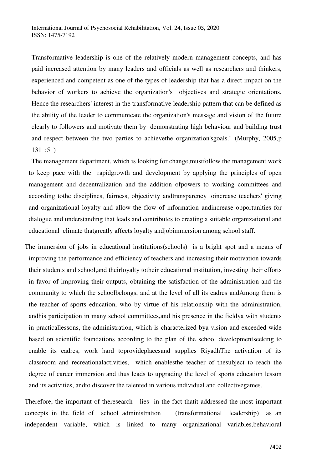Transformative leadership is one of the relatively modern management concepts, and has paid increased attention by many leaders and officials as well as researchers and thinkers, experienced and competent as one of the types of leadership that has a direct impact on the behavior of workers to achieve the organization's objectives and strategic orientations. Hence the researchers' interest in the transformative leadership pattern that can be defined as the ability of the leader to communicate the organization's message and vision of the future clearly to followers and motivate them by demonstrating high behaviour and building trust and respect between the two parties to achievethe organization'sgoals." (Murphy, 2005,p 131 :5 )

The management department, which is looking for change,mustfollow the management work to keep pace with the rapidgrowth and development by applying the principles of open management and decentralization and the addition ofpowers to working committees and according tothe disciplines, fairness, objectivity andtransparency toincrease teachers' giving and organizational loyalty and allow the flow of information andincrease opportunities for dialogue and understanding that leads and contributes to creating a suitable organizational and educational climate thatgreatly affects loyalty andjobimmersion among school staff.

The immersion of jobs in educational institutions(schools) is a bright spot and a means of improving the performance and efficiency of teachers and increasing their motivation towards their students and school,and theirloyalty totheir educational institution, investing their efforts in favor of improving their outputs, obtaining the satisfaction of the administration and the community to which the schoolbelongs, and at the level of all its cadres andAmong them is the teacher of sports education, who by virtue of his relationship with the administration, andhis participation in many school committees,and his presence in the fieldya with students in practicallessons, the administration, which is characterized bya vision and exceeded wide based on scientific foundations according to the plan of the school developmentseeking to enable its cadres, work hard toprovideplacesand supplies RiyadhThe activation of its classroom and recreationalactivities, which enablesthe teacher of thesubject to reach the degree of career immersion and thus leads to upgrading the level of sports education lesson and its activities, andto discover the talented in various individual and collectivegames.

Therefore, the important of theresearch lies in the fact thatit addressed the most important concepts in the field of school administration (transformational leadership) as an independent variable, which is linked to many organizational variables,behavioral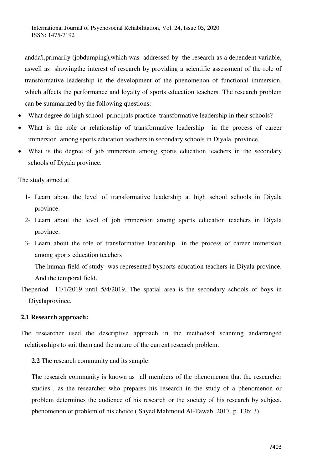andda'i,primarily (jobdumping),which was addressed by the research as a dependent variable, aswell as showingthe interest of research by providing a scientific assessment of the role of transformative leadership in the development of the phenomenon of functional immersion, which affects the performance and loyalty of sports education teachers. The research problem can be summarized by the following questions:

- What degree do high school principals practice transformative leadership in their schools?
- What is the role or relationship of transformative leadership in the process of career immersion among sports education teachers in secondary schools in Diyala province.
- What is the degree of job immersion among sports education teachers in the secondary schools of Diyala province.

The study aimed at

- 1- Learn about the level of transformative leadership at high school schools in Diyala province.
- 2- Learn about the level of job immersion among sports education teachers in Diyala province.
- 3- Learn about the role of transformative leadership in the process of career immersion among sports education teachers

The human field of study was represented bysports education teachers in Diyala province. And the temporal field.

Theperiod 11/1/2019 until 5/4/2019. The spatial area is the secondary schools of boys in Diyalaprovince.

# **2.1 Research approach:**

The researcher used the descriptive approach in the methodsof scanning andarranged relationships to suit them and the nature of the current research problem.

**2.2** The research community and its sample:

The research community is known as "all members of the phenomenon that the researcher studies", as the researcher who prepares his research in the study of a phenomenon or problem determines the audience of his research or the society of his research by subject, phenomenon or problem of his choice.( Sayed Mahmoud Al-Tawab, 2017, p. 136: 3)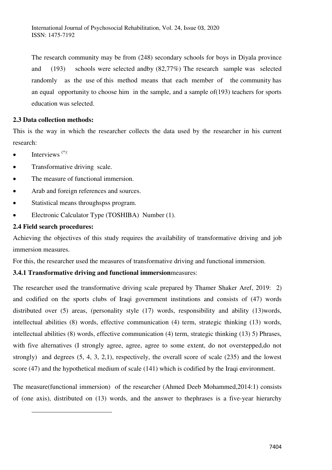The research community may be from (248) secondary schools for boys in Diyala province and (193) schools were selected andby (82,77%) The research sample was selected randomly as the use of this method means that each member of the community has an equal opportunity to choose him in the sample, and a sample of(193) teachers for sports education was selected.

## **2.3 Data collection methods:**

This is the way in which the researcher collects the data used by the researcher in his current research:

- $\bullet$  Interviews<sup> $(*)$ :</sup>
- Transformative driving scale.
- The measure of functional immersion.
- Arab and foreign references and sources.
- Statistical means throughspss program.
- Electronic Calculator Type (TOSHIBA) Number (1).

## **2.4 Field search procedures:**

 $\overline{a}$ 

Achieving the objectives of this study requires the availability of transformative driving and job immersion measures.

For this, the researcher used the measures of transformative driving and functional immersion.

# **3.4.1 Transformative driving and functional immersion**measures:

The researcher used the transformative driving scale prepared by Thamer Shaker Aref, 2019: 2) and codified on the sports clubs of Iraqi government institutions and consists of (47) words distributed over (5) areas, (personality style (17) words, responsibility and ability (13)words, intellectual abilities (8) words, effective communication (4) term, strategic thinking (13) words, intellectual abilities (8) words, effective communication (4) term, strategic thinking (13) 5) Phrases, with five alternatives (I strongly agree, agree, agree to some extent, do not overstepped,do not strongly) and degrees (5, 4, 3, 2,1), respectively, the overall score of scale (235) and the lowest score (47) and the hypothetical medium of scale (141) which is codified by the Iraqi environment.

The measure(functional immersion) of the researcher (Ahmed Deeb Mohammed,2014:1) consists of (one axis), distributed on (13) words, and the answer to thephrases is a five-year hierarchy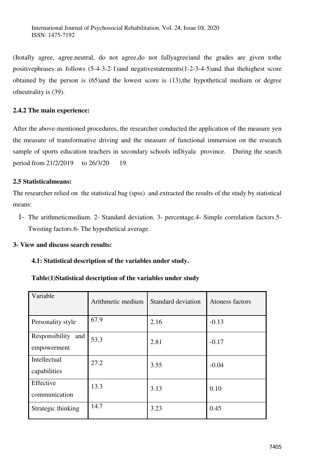(Itotally agree, agree,neutral, do not agree,do not fullyagree)and the grades are given tothe positivephrases as follows (5-4-3-2-1)and negativestatements(1-2-3-4-5)and that thehighest score obtained by the person is (65)and the lowest score is (13),the hypothetical medium or degree ofneutrality is (39).

#### **2.4.2 The main experience:**

After the above-mentioned procedures, the researcher conducted the application of the measure yen the measure of transformative driving and the measure of functional immersion on the research sample of sports education teachers in secondary schools inDiyala province. During the search period from 21/2/2019 to 26/3/20 19.

# **2.5 Statisticalmeans:**

The researcher relied on the statistical bag (spss) and extracted the results of the study by statistical means:

1- The arithmeticmedium. 2- Standard deviation. 3- percentage.4- Simple correlation factors.5- Twisting factors.6- The hypothetical average.

# **3- View and discuss search results:**

#### **4.1: Statistical description of the variables under study.**

### **Table(1)Statistical description of the variables under study**

| Variable                             | Arithmetic medium | Standard deviation | Atoness factors |
|--------------------------------------|-------------------|--------------------|-----------------|
| Personality style                    | 67.9              | 2.16               | $-0.13$         |
| Responsibility<br>and<br>empowerment | 53.3              | 2.81               | $-0.17$         |
| Intellectual<br>capabilities         | 27.2              | 3.55               | $-0.04$         |
| Effective<br>communication           | 13.3              | 3.13               | 0.10            |
| Strategic thinking                   | 14.7              | 3.23               | 0.45            |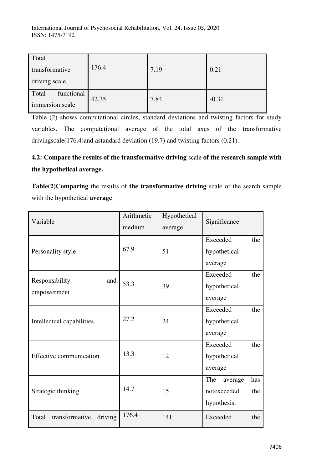International Journal of Psychosocial Rehabilitation, Vol. 24, Issue 03, 2020 ISSN: 1475-7192

| Total                   |       |      |         |
|-------------------------|-------|------|---------|
| 176.4<br>transformative |       | 7.19 | 0.21    |
| driving scale           |       |      |         |
| functional<br>Total     | 42.35 | 7.84 | $-0.31$ |
| immersion scale         |       |      |         |

Table (2) shows computational circles, standard deviations and twisting factors for study variables. The computational average of the total axes of the transformative drivingscale(176.4)and astandard deviation (19.7) and twisting factors (0.21).

# **4.2: Compare the results of the transformative driving** scale **of the research sample with the hypothetical average.**

**Table(2)Comparing** the results of **the transformative driving** scale of the search sample with the hypothetical **average** 

| Variable                           | Arithmetic<br>medium | Hypothetical<br>average | Significance          |  |  |
|------------------------------------|----------------------|-------------------------|-----------------------|--|--|
|                                    |                      |                         | Exceeded<br>the       |  |  |
| Personality style                  | 67.9                 | 51                      | hypothetical          |  |  |
|                                    |                      |                         | average               |  |  |
| Responsibility<br>and              |                      |                         | Exceeded<br>the       |  |  |
| empowerment                        | 53.3                 | 39                      | hypothetical          |  |  |
|                                    |                      |                         | average               |  |  |
|                                    |                      |                         | Exceeded<br>the       |  |  |
| Intellectual capabilities          | 27.2                 | 24                      | hypothetical          |  |  |
|                                    |                      |                         | average               |  |  |
|                                    |                      |                         | Exceeded<br>the       |  |  |
| Effective communication            | 13.3                 | 12                      | hypothetical          |  |  |
|                                    |                      |                         | average               |  |  |
|                                    |                      |                         | The<br>has<br>average |  |  |
| Strategic thinking                 | 14.7                 | 15                      | notexceeded<br>the    |  |  |
|                                    |                      |                         | hypothesis.           |  |  |
| transformative<br>driving<br>Total | 176.4                | 141                     | Exceeded<br>the       |  |  |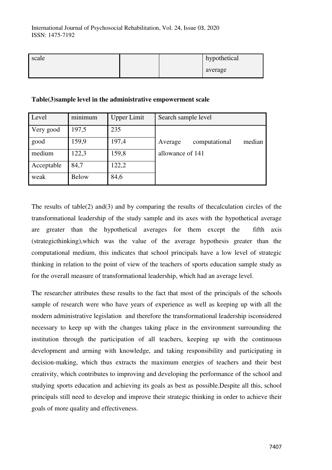| scale |  | hypothetical |
|-------|--|--------------|
|       |  | average      |

| Level      | minimum      | <b>Upper Limit</b> | Search sample level                |
|------------|--------------|--------------------|------------------------------------|
| Very good  | 197,5        | 235                |                                    |
| good       | 159,9        | 197,4              | computational<br>median<br>Average |
| medium     | 122,3        | 159,8              | allowance of 141                   |
| Acceptable | 84,7         | 122,2              |                                    |
| weak       | <b>Below</b> | 84,6               |                                    |

#### **Table(3)sample level in the administrative empowerment scale**

The results of table(2) and(3) and by comparing the results of the calculation circles of the transformational leadership of the study sample and its axes with the hypothetical average are greater than the hypothetical averages for them except the fifth axis (strategicthinking),which was the value of the average hypothesis greater than the computational medium, this indicates that school principals have a low level of strategic thinking in relation to the point of view of the teachers of sports education sample study as for the overall measure of transformational leadership, which had an average level.

The researcher attributes these results to the fact that most of the principals of the schools sample of research were who have years of experience as well as keeping up with all the modern administrative legislation and therefore the transformational leadership isconsidered necessary to keep up with the changes taking place in the environment surrounding the institution through the participation of all teachers, keeping up with the continuous development and arming with knowledge, and taking responsibility and participating in decision-making, which thus extracts the maximum energies of teachers and their best creativity, which contributes to improving and developing the performance of the school and studying sports education and achieving its goals as best as possible.Despite all this, school principals still need to develop and improve their strategic thinking in order to achieve their goals of more quality and effectiveness.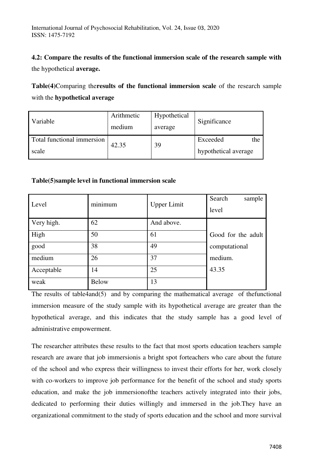# **4.2: Compare the results of the functional immersion scale of the research sample with**

the hypothetical **average.** 

**Table(4)**Comparing the**results of the functional immersion scale** of the research sample with the **hypothetical average** 

| Variable                   | Arithmetic<br>medium | Hypothetical<br>average | Significance         |  |
|----------------------------|----------------------|-------------------------|----------------------|--|
| Total functional immersion | 42.35                | 39                      | Exceeded<br>the      |  |
| scale                      |                      |                         | hypothetical average |  |

# **Table(5)sample level in functional immersion scale**

| Level      | minimum      | <b>Upper Limit</b> | Search<br>sample<br>level |
|------------|--------------|--------------------|---------------------------|
| Very high. | 62           | And above.         |                           |
| High       | 50           | 61                 | Good for the adult        |
| good       | 38           | 49                 | computational             |
| medium     | 26           | 37                 | medium.                   |
| Acceptable | 14           | 25                 | 43.35                     |
| weak       | <b>Below</b> | 13                 |                           |

The results of table4and(5) and by comparing the mathematical average of thefunctional immersion measure of the study sample with its hypothetical average are greater than the hypothetical average, and this indicates that the study sample has a good level of administrative empowerment.

The researcher attributes these results to the fact that most sports education teachers sample research are aware that job immersionis a bright spot forteachers who care about the future of the school and who express their willingness to invest their efforts for her, work closely with co-workers to improve job performance for the benefit of the school and study sports education, and make the job immersionofthe teachers actively integrated into their jobs, dedicated to performing their duties willingly and immersed in the job.They have an organizational commitment to the study of sports education and the school and more survival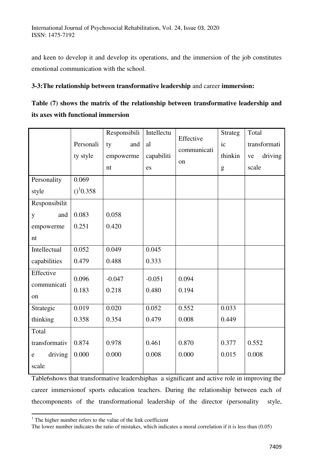and keen to develop it and develop its operations, and the immersion of the job constitutes emotional communication with the school.

## **3-3:The relationship between transformative leadership** and career **immersion:**

| Table (7) shows the matrix of the relationship between transformative leadership and |  |  |
|--------------------------------------------------------------------------------------|--|--|
| its axes with functional immersion                                                   |  |  |

|                      |                         | Responsibili | Intellectu | Effective   | <b>Strateg</b> | Total         |
|----------------------|-------------------------|--------------|------------|-------------|----------------|---------------|
|                      | Personali               | ty<br>and    | al         | communicati | ic             | transformati  |
|                      | ty style                | empowerme    | capabiliti |             | thinkin        | driving<br>ve |
|                      |                         | nt           | es         | on          | g              | scale         |
| Personality          | 0.069                   |              |            |             |                |               |
| style                | $()$ <sup>1</sup> 0.358 |              |            |             |                |               |
| Responsibilit        |                         |              |            |             |                |               |
| and<br>y             | 0.083                   | 0.058        |            |             |                |               |
| empowerme            | 0.251                   | 0.420        |            |             |                |               |
| nt                   |                         |              |            |             |                |               |
| Intellectual         | 0.052                   | 0.049        | 0.045      |             |                |               |
| capabilities         | 0.479                   | 0.488        | 0.333      |             |                |               |
| Effective            | 0.096                   | $-0.047$     | $-0.051$   | 0.094       |                |               |
| communicati          | 0.183                   | 0.218        | 0.480      | 0.194       |                |               |
| on                   |                         |              |            |             |                |               |
| Strategic            | 0.019                   | 0.020        | 0.052      | 0.552       | 0.033          |               |
| thinking             | 0.358                   | 0.354        | 0.479      | 0.008       | 0.449          |               |
| Total                |                         |              |            |             |                |               |
| transformativ        | 0.874                   | 0.978        | 0.461      | 0.870       | 0.377          | 0.552         |
| driving<br>${\rm e}$ | 0.000                   | 0.000        | 0.008      | 0.000       | 0.015          | 0.008         |
| scale                |                         |              |            |             |                |               |

Table6shows that transformative leadershiphas a significant and active role in improving the career immersionof sports education teachers. During the relationship between each of thecomponents of the transformational leadership of the director (personality style,

 $\overline{a}$ 

<sup>&</sup>lt;sup>1</sup> The higher number refers to the value of the link coefficient

The lower number indicates the ratio of mistakes, which indicates a moral correlation if it is less than (0.05)